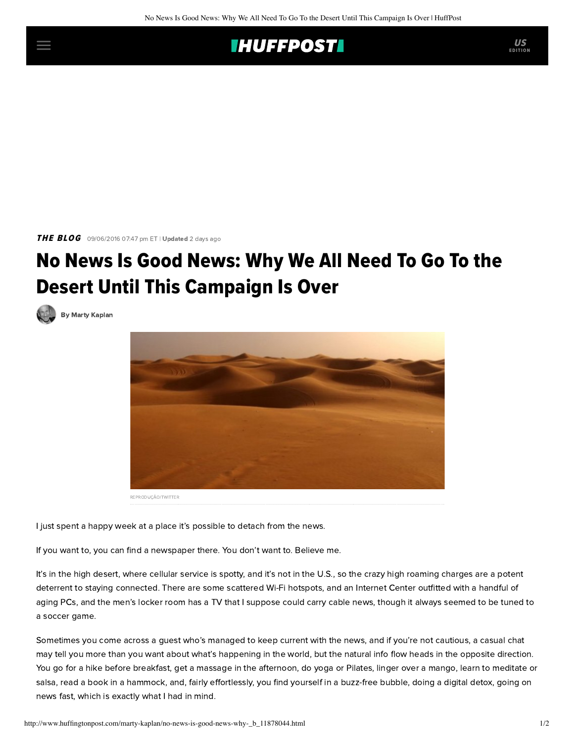## **IHUFFPOSTI**

THE BLOG 09/06/2016 07:47 pm ET | Updated 2 days ago

## No News Is Good News: Why We All Need To Go To the Desert Until This Campaign Is Over

[By Marty Kaplan](http://www.huffingtonpost.com/author/marty-kaplan)



I just spent a happy week at a place it's possible to detach from the news.

If you want to, you can find a newspaper there. You don't want to. Believe me.

It's in the high desert, where cellular service is spotty, and it's not in the U.S., so the crazy high roaming charges are a potent deterrent to staying connected. There are some scattered Wi-Fi hotspots, and an Internet Center outfitted with a handful of aging PCs, and the men's locker room has a TV that I suppose could carry cable news, though it always seemed to be tuned to a soccer game.

Sometimes you come across a guest who's managed to keep current with the news, and if you're not cautious, a casual chat may tell you more than you want about what's happening in the world, but the natural info flow heads in the opposite direction. You go for a hike before breakfast, get a massage in the afternoon, do yoga or Pilates, linger over a mango, learn to meditate or salsa, read a book in a hammock, and, fairly effortlessly, you find yourself in a buzz-free bubble, doing a digital detox, going on news fast, which is exactly what I had in mind.